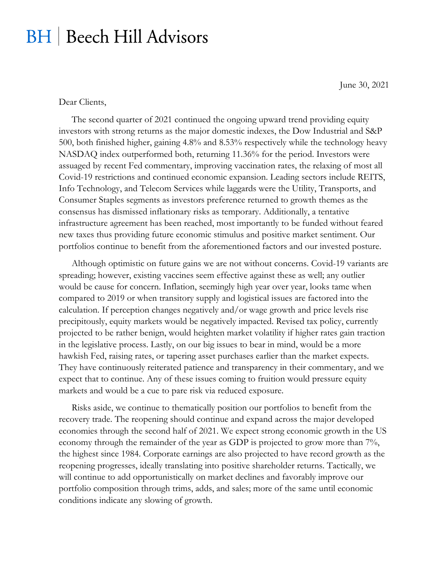## **BH** | Beech Hill Advisors

June 30, 2021

## Dear Clients,

The second quarter of 2021 continued the ongoing upward trend providing equity investors with strong returns as the major domestic indexes, the Dow Industrial and S&P 500, both finished higher, gaining 4.8% and 8.53% respectively while the technology heavy NASDAQ index outperformed both, returning 11.36% for the period. Investors were assuaged by recent Fed commentary, improving vaccination rates, the relaxing of most all Covid-19 restrictions and continued economic expansion. Leading sectors include REITS, Info Technology, and Telecom Services while laggards were the Utility, Transports, and Consumer Staples segments as investors preference returned to growth themes as the consensus has dismissed inflationary risks as temporary. Additionally, a tentative infrastructure agreement has been reached, most importantly to be funded without feared new taxes thus providing future economic stimulus and positive market sentiment. Our portfolios continue to benefit from the aforementioned factors and our invested posture.

Although optimistic on future gains we are not without concerns. Covid-19 variants are spreading; however, existing vaccines seem effective against these as well; any outlier would be cause for concern. Inflation, seemingly high year over year, looks tame when compared to 2019 or when transitory supply and logistical issues are factored into the calculation. If perception changes negatively and/or wage growth and price levels rise precipitously, equity markets would be negatively impacted. Revised tax policy, currently projected to be rather benign, would heighten market volatility if higher rates gain traction in the legislative process. Lastly, on our big issues to bear in mind, would be a more hawkish Fed, raising rates, or tapering asset purchases earlier than the market expects. They have continuously reiterated patience and transparency in their commentary, and we expect that to continue. Any of these issues coming to fruition would pressure equity markets and would be a cue to pare risk via reduced exposure.

Risks aside, we continue to thematically position our portfolios to benefit from the recovery trade. The reopening should continue and expand across the major developed economies through the second half of 2021. We expect strong economic growth in the US economy through the remainder of the year as GDP is projected to grow more than 7%, the highest since 1984. Corporate earnings are also projected to have record growth as the reopening progresses, ideally translating into positive shareholder returns. Tactically, we will continue to add opportunistically on market declines and favorably improve our portfolio composition through trims, adds, and sales; more of the same until economic conditions indicate any slowing of growth.